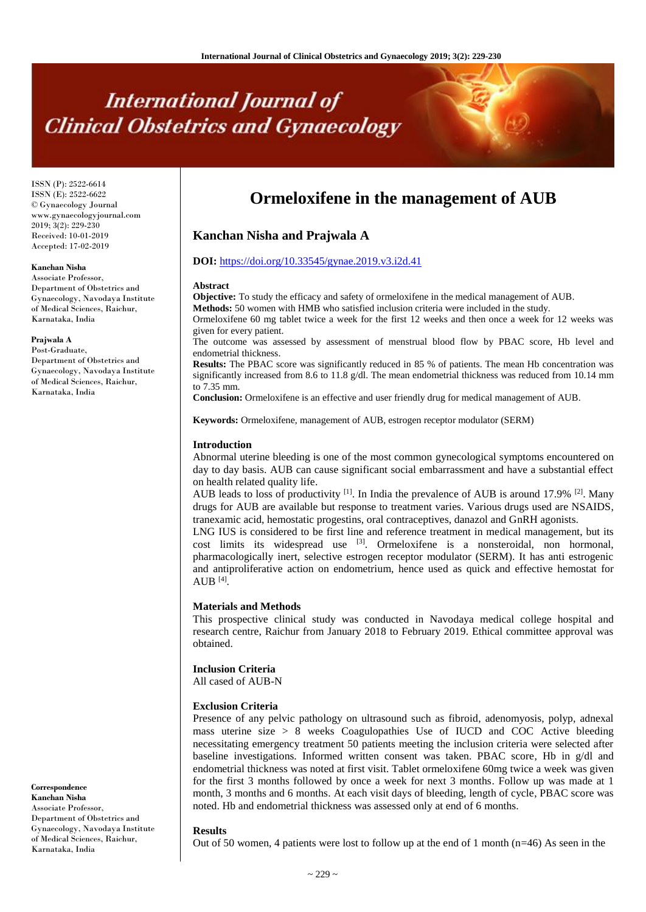# **International Journal of Clinical Obstetrics and Gynaecology**

ISSN (P): 2522-6614 ISSN (E): 2522-6622 © Gynaecology Journal www.gynaecologyjournal.com 2019; 3(2): 229-230 Received: 10-01-2019 Accepted: 17-02-2019

## **Kanchan Nisha**

Associate Professor, Department of Obstetrics and Gynaecology, Navodaya Institute of Medical Sciences, Raichur, Karnataka, India

#### **Prajwala A**

Post-Graduate, Department of Obstetrics and Gynaecology, Navodaya Institute of Medical Sciences, Raichur, Karnataka, India

**Correspondence Kanchan Nisha** Associate Professor, Department of Obstetrics and Gynaecology, Navodaya Institute of Medical Sciences, Raichur, Karnataka, India

# **Ormeloxifene in the management of AUB**

# **Kanchan Nisha and Prajwala A**

#### **DOI:** <https://doi.org/10.33545/gynae.2019.v3.i2d.41>

#### **Abstract**

**Objective:** To study the efficacy and safety of ormeloxifene in the medical management of AUB.

**Methods:** 50 women with HMB who satisfied inclusion criteria were included in the study.

Ormeloxifene 60 mg tablet twice a week for the first 12 weeks and then once a week for 12 weeks was given for every patient.

The outcome was assessed by assessment of menstrual blood flow by PBAC score, Hb level and endometrial thickness.

**Results:** The PBAC score was significantly reduced in 85 % of patients. The mean Hb concentration was significantly increased from 8.6 to 11.8 g/dl. The mean endometrial thickness was reduced from 10.14 mm to 7.35 mm.

**Conclusion:** Ormeloxifene is an effective and user friendly drug for medical management of AUB.

**Keywords:** Ormeloxifene, management of AUB, estrogen receptor modulator (SERM)

## **Introduction**

Abnormal uterine bleeding is one of the most common gynecological symptoms encountered on day to day basis. AUB can cause significant social embarrassment and have a substantial effect on health related quality life.

AUB leads to loss of productivity  $^{[1]}$ . In India the prevalence of AUB is around 17.9%  $^{[2]}$ . Many drugs for AUB are available but response to treatment varies. Various drugs used are NSAIDS, tranexamic acid, hemostatic progestins, oral contraceptives, danazol and GnRH agonists.

LNG IUS is considered to be first line and reference treatment in medical management, but its cost limits its widespread use  $[3]$ . Ormeloxifene is a nonsteroidal, non hormonal, pharmacologically inert, selective estrogen receptor modulator (SERM). It has anti estrogenic and antiproliferative action on endometrium, hence used as quick and effective hemostat for  $AUB$   $^{[4]}$ .

#### **Materials and Methods**

This prospective clinical study was conducted in Navodaya medical college hospital and research centre, Raichur from January 2018 to February 2019. Ethical committee approval was obtained.

# **Inclusion Criteria**

All cased of AUB-N

#### **Exclusion Criteria**

Presence of any pelvic pathology on ultrasound such as fibroid, adenomyosis, polyp, adnexal mass uterine size  $> 8$  weeks Coagulopathies Use of IUCD and COC Active bleeding necessitating emergency treatment 50 patients meeting the inclusion criteria were selected after baseline investigations. Informed written consent was taken. PBAC score, Hb in g/dl and endometrial thickness was noted at first visit. Tablet ormeloxifene 60mg twice a week was given for the first 3 months followed by once a week for next 3 months. Follow up was made at 1 month, 3 months and 6 months. At each visit days of bleeding, length of cycle, PBAC score was noted. Hb and endometrial thickness was assessed only at end of 6 months.

#### **Results**

Out of 50 women, 4 patients were lost to follow up at the end of 1 month ( $n=46$ ) As seen in the